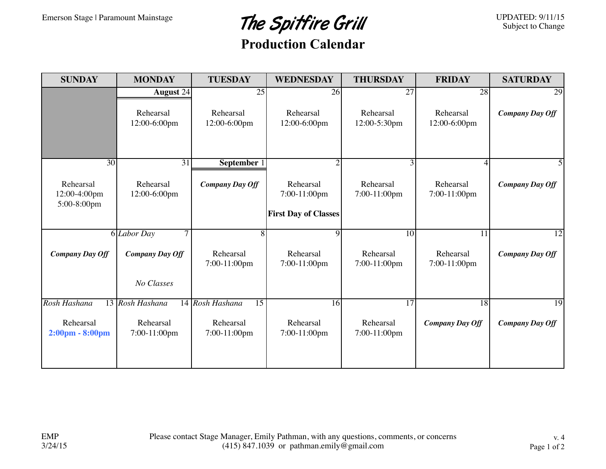## Emerson Stage | Paramount Mainstage The Spitfire Grill

UPDATED: 9/11/15 Subject to Change

## **Production Calendar**

| <b>SUNDAY</b>                                  | <b>MONDAY</b>             | <b>TUESDAY</b>                     | <b>WEDNESDAY</b>                                         | <b>THURSDAY</b>           | <b>FRIDAY</b>             | <b>SATURDAY</b>        |
|------------------------------------------------|---------------------------|------------------------------------|----------------------------------------------------------|---------------------------|---------------------------|------------------------|
|                                                | August 24                 | 25                                 | 26                                                       | 27                        | 28                        | 29                     |
|                                                | Rehearsal<br>12:00-6:00pm | Rehearsal<br>12:00-6:00pm          | Rehearsal<br>12:00-6:00pm                                | Rehearsal<br>12:00-5:30pm | Rehearsal<br>12:00-6:00pm | <b>Company Day Off</b> |
| 30                                             | $\overline{31}$           | September 1                        | $\overline{2}$                                           |                           |                           |                        |
| Rehearsal<br>12:00-4:00pm<br>5:00-8:00pm       | Rehearsal<br>12:00-6:00pm | <b>Company Day Off</b>             | Rehearsal<br>7:00-11:00pm<br><b>First Day of Classes</b> | Rehearsal<br>7:00-11:00pm | Rehearsal<br>7:00-11:00pm | <b>Company Day Off</b> |
|                                                | 7<br>6 <i>Labor Day</i>   | 8                                  | 9                                                        | $\overline{10}$           | 11                        | 12                     |
| <b>Company Day Off</b>                         | <b>Company Day Off</b>    | Rehearsal<br>7:00-11:00pm          | Rehearsal<br>7:00-11:00pm                                | Rehearsal<br>7:00-11:00pm | Rehearsal<br>7:00-11:00pm | <b>Company Day Off</b> |
|                                                | No Classes                |                                    |                                                          |                           |                           |                        |
| Rosh Hashana                                   | 13 Rosh Hashana           | 14 Rosh Hashana<br>$\overline{15}$ | 16                                                       | $\overline{17}$           | 18                        | 19                     |
| Rehearsal<br>$2:00 \text{pm} - 8:00 \text{pm}$ | Rehearsal<br>7:00-11:00pm | Rehearsal<br>7:00-11:00pm          | Rehearsal<br>7:00-11:00pm                                | Rehearsal<br>7:00-11:00pm | <b>Company Day Off</b>    | <b>Company Day Off</b> |
|                                                |                           |                                    |                                                          |                           |                           |                        |